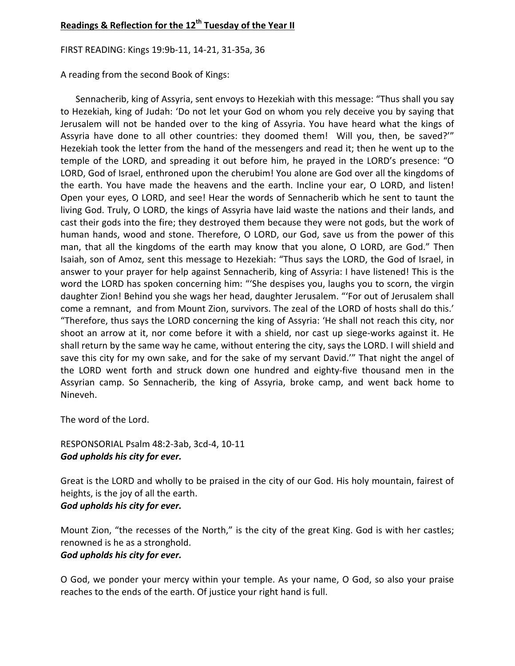## **Readings & Reflection for the 12th Tuesday of the Year II**

FIRST READING: Kings 19:9b-11, 14-21, 31-35a, 36

A reading from the second Book of Kings:

 Sennacherib, king of Assyria, sent envoys to Hezekiah with this message: "Thus shall you say to Hezekiah, king of Judah: 'Do not let your God on whom you rely deceive you by saying that Jerusalem will not be handed over to the king of Assyria. You have heard what the kings of Assyria have done to all other countries: they doomed them! Will you, then, be saved?"" Hezekiah took the letter from the hand of the messengers and read it; then he went up to the temple of the LORD, and spreading it out before him, he prayed in the LORD's presence: "O LORD, God of Israel, enthroned upon the cherubim! You alone are God over all the kingdoms of the earth. You have made the heavens and the earth. Incline your ear, O LORD, and listen! Open your eyes, O LORD, and see! Hear the words of Sennacherib which he sent to taunt the living God. Truly, O LORD, the kings of Assyria have laid waste the nations and their lands, and cast their gods into the fire; they destroyed them because they were not gods, but the work of human hands, wood and stone. Therefore, O LORD, our God, save us from the power of this man, that all the kingdoms of the earth may know that you alone, O LORD, are God." Then Isaiah, son of Amoz, sent this message to Hezekiah: "Thus says the LORD, the God of Israel, in answer to your prayer for help against Sennacherib, king of Assyria: I have listened! This is the word the LORD has spoken concerning him: "'She despises you, laughs you to scorn, the virgin daughter Zion! Behind you she wags her head, daughter Jerusalem. "'For out of Jerusalem shall come a remnant, and from Mount Zion, survivors. The zeal of the LORD of hosts shall do this.' "Therefore, thus says the LORD concerning the king of Assyria: 'He shall not reach this city, nor shoot an arrow at it, nor come before it with a shield, nor cast up siege-works against it. He shall return by the same way he came, without entering the city, says the LORD. I will shield and save this city for my own sake, and for the sake of my servant David.'" That night the angel of the LORD went forth and struck down one hundred and eighty-five thousand men in the Assyrian camp. So Sennacherib, the king of Assyria, broke camp, and went back home to Nineveh.

The word of the Lord.

RESPONSORIAL Psalm 48:2-3ab, 3cd-4, 10-11 *God upholds his city for ever.* 

Great is the LORD and wholly to be praised in the city of our God. His holy mountain, fairest of heights, is the joy of all the earth. *God upholds his city for ever.* 

Mount Zion, "the recesses of the North," is the city of the great King. God is with her castles; renowned is he as a stronghold. *God upholds his city for ever.* 

O God, we ponder your mercy within your temple. As your name, O God, so also your praise reaches to the ends of the earth. Of justice your right hand is full.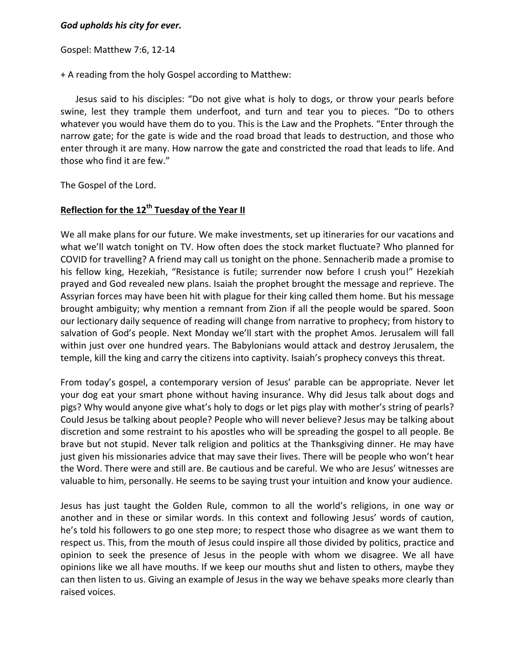## *God upholds his city for ever.*

Gospel: Matthew 7:6, 12-14

+ A reading from the holy Gospel according to Matthew:

 Jesus said to his disciples: "Do not give what is holy to dogs, or throw your pearls before swine, lest they trample them underfoot, and turn and tear you to pieces. "Do to others whatever you would have them do to you. This is the Law and the Prophets. "Enter through the narrow gate; for the gate is wide and the road broad that leads to destruction, and those who enter through it are many. How narrow the gate and constricted the road that leads to life. And those who find it are few."

The Gospel of the Lord.

## **Reflection for the 12<sup>th</sup> Tuesday of the Year II**

We all make plans for our future. We make investments, set up itineraries for our vacations and what we'll watch tonight on TV. How often does the stock market fluctuate? Who planned for COVID for travelling? A friend may call us tonight on the phone. Sennacherib made a promise to his fellow king, Hezekiah, "Resistance is futile; surrender now before I crush you!" Hezekiah prayed and God revealed new plans. Isaiah the prophet brought the message and reprieve. The Assyrian forces may have been hit with plague for their king called them home. But his message brought ambiguity; why mention a remnant from Zion if all the people would be spared. Soon our lectionary daily sequence of reading will change from narrative to prophecy; from history to salvation of God's people. Next Monday we'll start with the prophet Amos. Jerusalem will fall within just over one hundred years. The Babylonians would attack and destroy Jerusalem, the temple, kill the king and carry the citizens into captivity. Isaiah's prophecy conveys this threat.

From today's gospel, a contemporary version of Jesus' parable can be appropriate. Never let your dog eat your smart phone without having insurance. Why did Jesus talk about dogs and pigs? Why would anyone give what's holy to dogs or let pigs play with mother's string of pearls? Could Jesus be talking about people? People who will never believe? Jesus may be talking about discretion and some restraint to his apostles who will be spreading the gospel to all people. Be brave but not stupid. Never talk religion and politics at the Thanksgiving dinner. He may have just given his missionaries advice that may save their lives. There will be people who won't hear the Word. There were and still are. Be cautious and be careful. We who are Jesus' witnesses are valuable to him, personally. He seems to be saying trust your intuition and know your audience.

Jesus has just taught the Golden Rule, common to all the world's religions, in one way or another and in these or similar words. In this context and following Jesus' words of caution, he's told his followers to go one step more; to respect those who disagree as we want them to respect us. This, from the mouth of Jesus could inspire all those divided by politics, practice and opinion to seek the presence of Jesus in the people with whom we disagree. We all have opinions like we all have mouths. If we keep our mouths shut and listen to others, maybe they can then listen to us. Giving an example of Jesus in the way we behave speaks more clearly than raised voices.